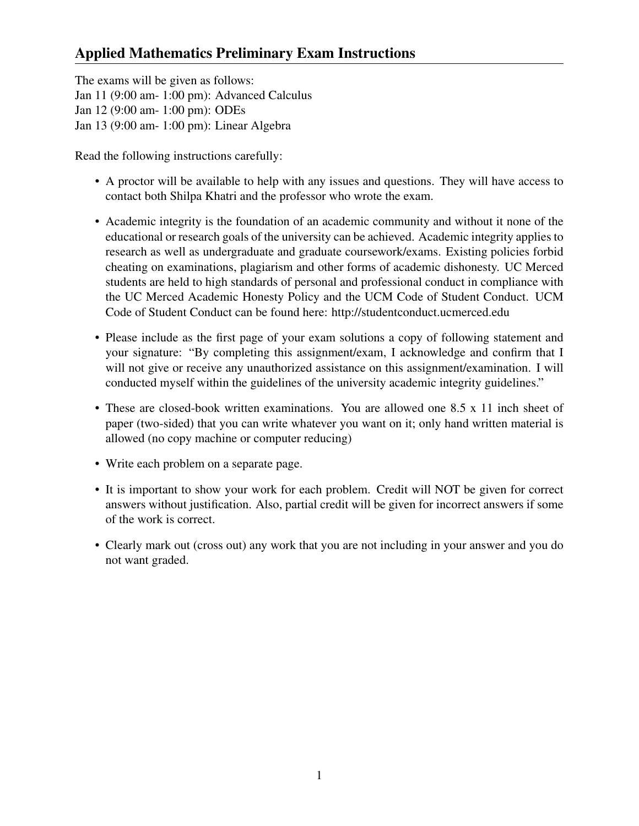# Applied Mathematics Preliminary Exam Instructions

The exams will be given as follows: Jan 11 (9:00 am- 1:00 pm): Advanced Calculus Jan 12 (9:00 am- 1:00 pm): ODEs Jan 13 (9:00 am- 1:00 pm): Linear Algebra

Read the following instructions carefully:

- A proctor will be available to help with any issues and questions. They will have access to contact both Shilpa Khatri and the professor who wrote the exam.
- Academic integrity is the foundation of an academic community and without it none of the educational or research goals of the university can be achieved. Academic integrity applies to research as well as undergraduate and graduate coursework/exams. Existing policies forbid cheating on examinations, plagiarism and other forms of academic dishonesty. UC Merced students are held to high standards of personal and professional conduct in compliance with the UC Merced Academic Honesty Policy and the UCM Code of Student Conduct. UCM Code of Student Conduct can be found here: http://studentconduct.ucmerced.edu
- Please include as the first page of your exam solutions a copy of following statement and your signature: "By completing this assignment/exam, I acknowledge and confirm that I will not give or receive any unauthorized assistance on this assignment/examination. I will conducted myself within the guidelines of the university academic integrity guidelines."
- These are closed-book written examinations. You are allowed one 8.5 x 11 inch sheet of paper (two-sided) that you can write whatever you want on it; only hand written material is allowed (no copy machine or computer reducing)
- Write each problem on a separate page.
- It is important to show your work for each problem. Credit will NOT be given for correct answers without justification. Also, partial credit will be given for incorrect answers if some of the work is correct.
- Clearly mark out (cross out) any work that you are not including in your answer and you do not want graded.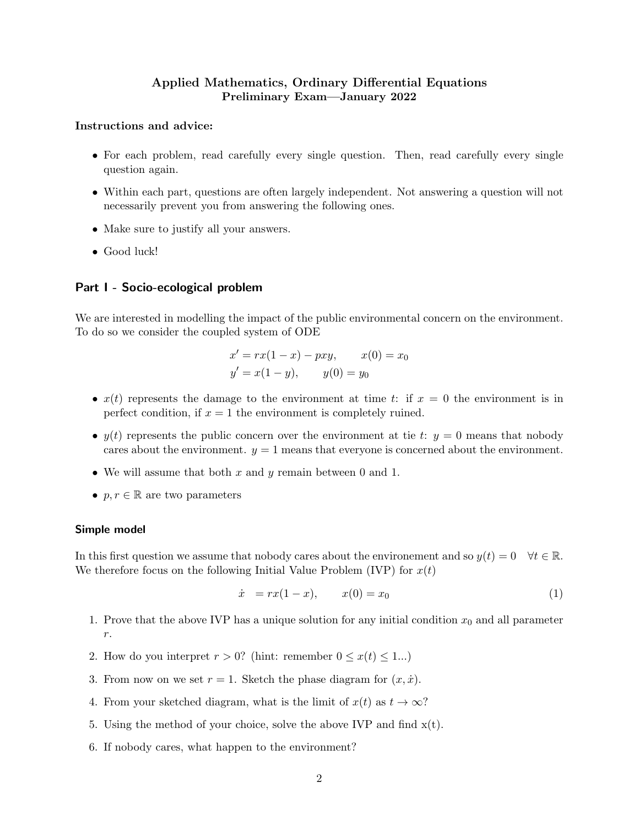# Applied Mathematics, Ordinary Differential Equations Preliminary Exam—January 2022

# Instructions and advice:

- For each problem, read carefully every single question. Then, read carefully every single question again.
- Within each part, questions are often largely independent. Not answering a question will not necessarily prevent you from answering the following ones.
- Make sure to justify all your answers.
- Good luck!

# Part I - Socio-ecological problem

We are interested in modelling the impact of the public environmental concern on the environment. To do so we consider the coupled system of ODE

$$
x' = rx(1 - x) - pxy, \t x(0) = x_0
$$
  

$$
y' = x(1 - y), \t y(0) = y_0
$$

- $x(t)$  represents the damage to the environment at time t: if  $x = 0$  the environment is in perfect condition, if  $x = 1$  the environment is completely ruined.
- $y(t)$  represents the public concern over the environment at tie t:  $y = 0$  means that nobody cares about the environment.  $y = 1$  means that everyone is concerned about the environment.
- We will assume that both  $x$  and  $y$  remain between 0 and 1.
- $p, r \in \mathbb{R}$  are two parameters

## Simple model

In this first question we assume that nobody cares about the environement and so  $y(t) = 0 \quad \forall t \in \mathbb{R}$ . We therefore focus on the following Initial Value Problem (IVP) for  $x(t)$ 

$$
\dot{x} = rx(1-x), \qquad x(0) = x_0 \tag{1}
$$

- 1. Prove that the above IVP has a unique solution for any initial condition  $x_0$  and all parameter r.
- 2. How do you interpret  $r > 0$ ? (hint: remember  $0 \leq x(t) \leq 1...$ )
- 3. From now on we set  $r = 1$ . Sketch the phase diagram for  $(x, \dot{x})$ .
- 4. From your sketched diagram, what is the limit of  $x(t)$  as  $t \to \infty$ ?
- 5. Using the method of your choice, solve the above IVP and find  $x(t)$ .
- 6. If nobody cares, what happen to the environment?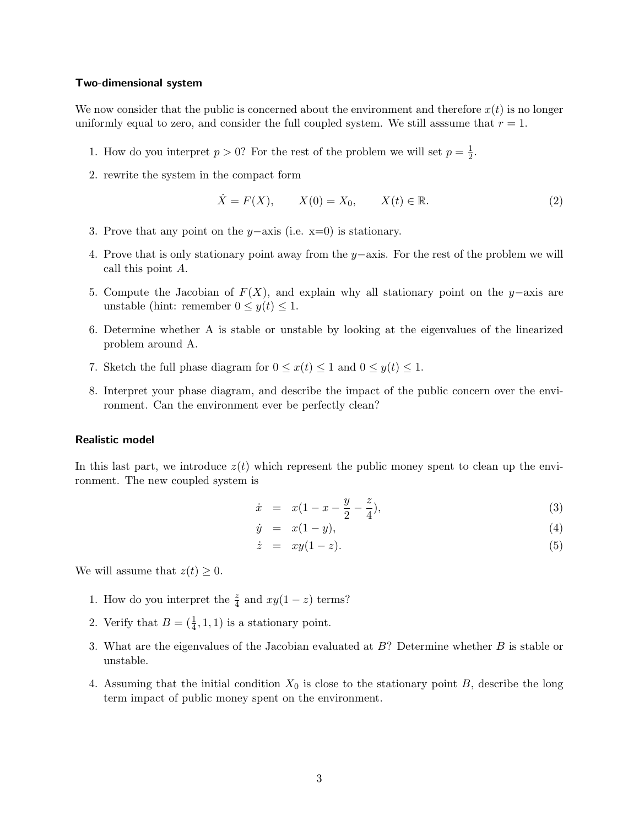#### Two-dimensional system

We now consider that the public is concerned about the environment and therefore  $x(t)$  is no longer uniformly equal to zero, and consider the full coupled system. We still assume that  $r = 1$ .

- 1. How do you interpret  $p > 0$ ? For the rest of the problem we will set  $p = \frac{1}{2}$  $\frac{1}{2}$ .
- 2. rewrite the system in the compact form

$$
\dot{X} = F(X), \qquad X(0) = X_0, \qquad X(t) \in \mathbb{R}.\tag{2}
$$

- 3. Prove that any point on the y−axis (i.e. x=0) is stationary.
- 4. Prove that is only stationary point away from the y−axis. For the rest of the problem we will call this point A.
- 5. Compute the Jacobian of  $F(X)$ , and explain why all stationary point on the y–axis are unstable (hint: remember  $0 \leq y(t) \leq 1$ .
- 6. Determine whether A is stable or unstable by looking at the eigenvalues of the linearized problem around A.
- 7. Sketch the full phase diagram for  $0 \leq x(t) \leq 1$  and  $0 \leq y(t) \leq 1$ .
- 8. Interpret your phase diagram, and describe the impact of the public concern over the environment. Can the environment ever be perfectly clean?

#### Realistic model

In this last part, we introduce  $z(t)$  which represent the public money spent to clean up the environment. The new coupled system is

$$
\dot{x} = x(1 - x - \frac{y}{2} - \frac{z}{4}), \tag{3}
$$

$$
\dot{y} = x(1-y), \tag{4}
$$

$$
\dot{z} = xy(1-z). \tag{5}
$$

We will assume that  $z(t) \geq 0$ .

- 1. How do you interpret the  $\frac{z}{4}$  and  $xy(1-z)$  terms?
- 2. Verify that  $B = (\frac{1}{4}, 1, 1)$  is a stationary point.
- 3. What are the eigenvalues of the Jacobian evaluated at B? Determine whether B is stable or unstable.
- 4. Assuming that the initial condition  $X_0$  is close to the stationary point B, describe the long term impact of public money spent on the environment.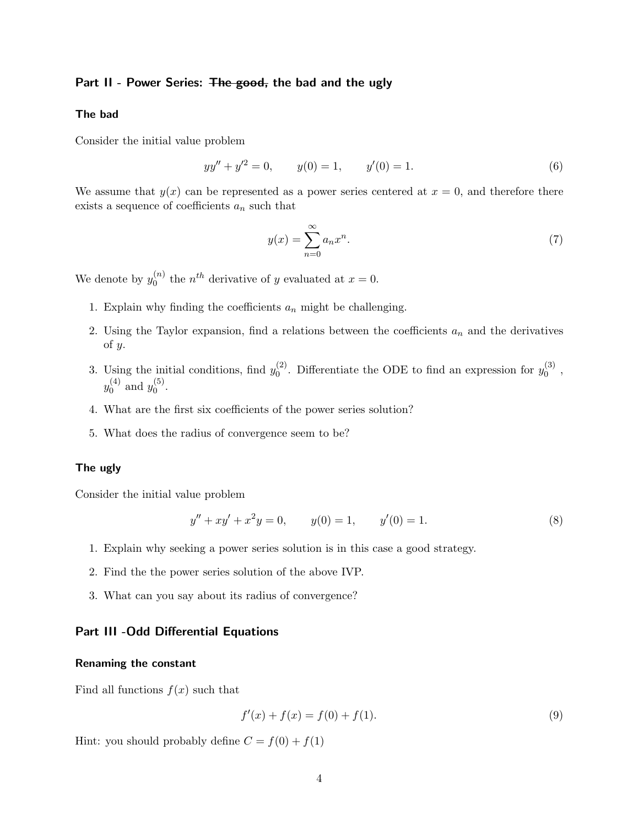# Part II - Power Series: The good, the bad and the ugly

## The bad

Consider the initial value problem

$$
yy'' + y'^2 = 0, \t y(0) = 1, \t y'(0) = 1.
$$
\t(6)

We assume that  $y(x)$  can be represented as a power series centered at  $x = 0$ , and therefore there exists a sequence of coefficients  $a_n$  such that

$$
y(x) = \sum_{n=0}^{\infty} a_n x^n.
$$
 (7)

We denote by  $y_0^{(n)}$  $t_0^{(n)}$  the *n<sup>th</sup>* derivative of *y* evaluated at  $x = 0$ .

- 1. Explain why finding the coefficients  $a_n$  might be challenging.
- 2. Using the Taylor expansion, find a relations between the coefficients  $a_n$  and the derivatives of y.
- 3. Using the initial conditions, find  $y_0^{(2)}$  $\binom{2}{0}$ . Differentiate the ODE to find an expression for  $y_0^{(3)}$  $\begin{matrix} \mathbf{0} \ 0 \end{matrix}$  ,  $y_0^{(4)}$  $y_0^{(4)}$  and  $y_0^{(5)}$  $\big\{ \begin{matrix} 0 \ 0 \end{matrix} \big\}.$
- 4. What are the first six coefficients of the power series solution?
- 5. What does the radius of convergence seem to be?

#### The ugly

Consider the initial value problem

$$
y'' + xy' + x^2y = 0, \t y(0) = 1, \t y'(0) = 1.
$$
\t(8)

- 1. Explain why seeking a power series solution is in this case a good strategy.
- 2. Find the the power series solution of the above IVP.
- 3. What can you say about its radius of convergence?

# Part III -Odd Differential Equations

#### Renaming the constant

Find all functions  $f(x)$  such that

$$
f'(x) + f(x) = f(0) + f(1).
$$
\n(9)

Hint: you should probably define  $C = f(0) + f(1)$